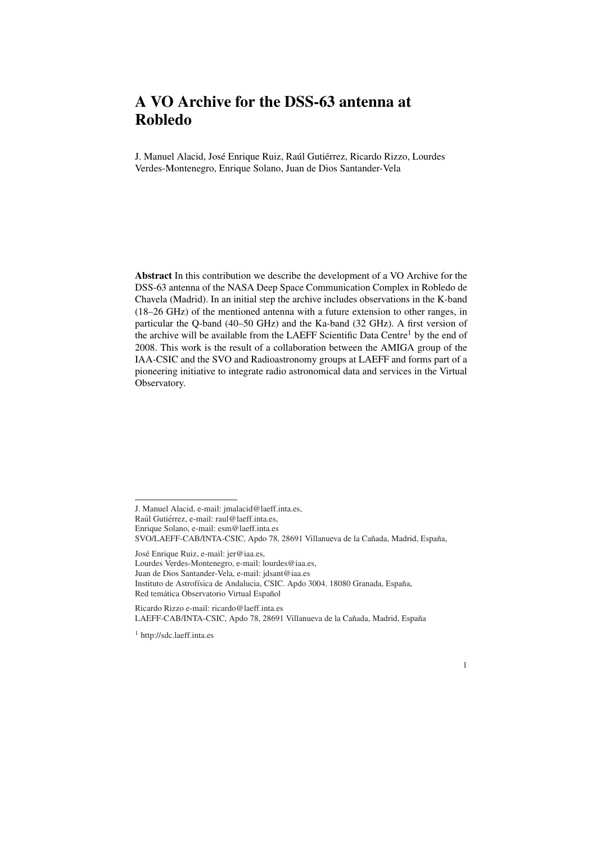## A VO Archive for the DSS-63 antenna at Robledo

J. Manuel Alacid, José Enrique Ruiz, Raúl Gutiérrez, Ricardo Rizzo, Lourdes Verdes-Montenegro, Enrique Solano, Juan de Dios Santander-Vela

Abstract In this contribution we describe the development of a VO Archive for the DSS-63 antenna of the NASA Deep Space Communication Complex in Robledo de Chavela (Madrid). In an initial step the archive includes observations in the K-band (18–26 GHz) of the mentioned antenna with a future extension to other ranges, in particular the Q-band (40–50 GHz) and the Ka-band (32 GHz). A first version of the archive will be available from the LAEFF Scientific Data Centre<sup>1</sup> by the end of 2008. This work is the result of a collaboration between the AMIGA group of the IAA-CSIC and the SVO and Radioastronomy groups at LAEFF and forms part of a pioneering initiative to integrate radio astronomical data and services in the Virtual Observatory.

Jose Enrique Ruiz, e-mail: jer@iaa.es, ´

Lourdes Verdes-Montenegro, e-mail: lourdes@iaa.es,

Juan de Dios Santander-Vela, e-mail: jdsant@iaa.es Instituto de Astrofísica de Andalucia, CSIC. Apdo 3004. 18080 Granada, España,

Red temática Observatorio Virtual Español

Ricardo Rizzo e-mail: ricardo@laeff.inta.es LAEFF-CAB/INTA-CSIC, Apdo 78, 28691 Villanueva de la Cañada, Madrid, España

<sup>1</sup> http://sdc.laeff.inta.es

1

J. Manuel Alacid, e-mail: jmalacid@laeff.inta.es,

Raúl Gutiérrez, e-mail: raul@laeff.inta.es,

Enrique Solano, e-mail: esm@laeff.inta.es

SVO/LAEFF-CAB/INTA-CSIC, Apdo 78, 28691 Villanueva de la Cañada, Madrid, España,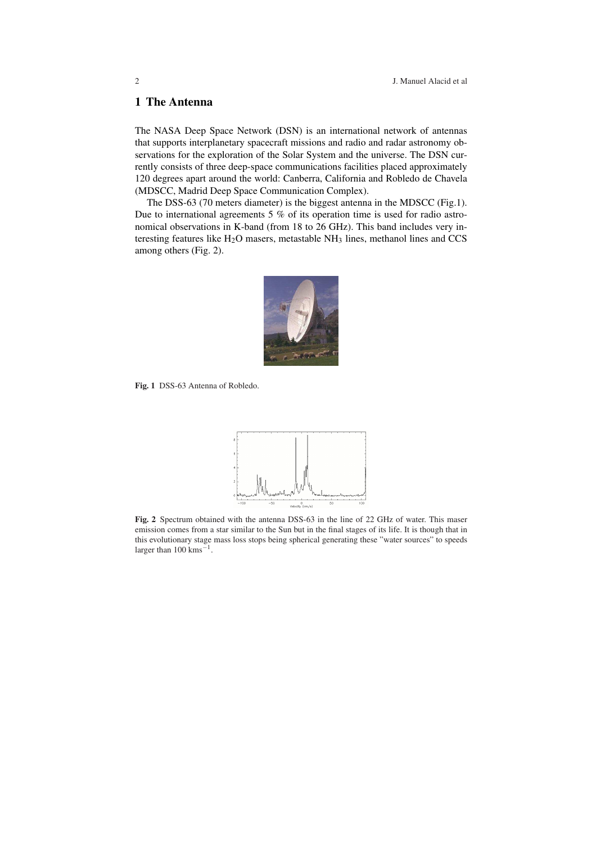## 1 The Antenna

The NASA Deep Space Network (DSN) is an international network of antennas that supports interplanetary spacecraft missions and radio and radar astronomy observations for the exploration of the Solar System and the universe. The DSN currently consists of three deep-space communications facilities placed approximately 120 degrees apart around the world: Canberra, California and Robledo de Chavela (MDSCC, Madrid Deep Space Communication Complex).

The DSS-63 (70 meters diameter) is the biggest antenna in the MDSCC (Fig.1). Due to international agreements 5 % of its operation time is used for radio astronomical observations in K-band (from 18 to 26 GHz). This band includes very interesting features like  $H_2O$  masers, metastable  $NH_3$  lines, methanol lines and CCS among others (Fig. 2).



Fig. 1 DSS-63 Antenna of Robledo.



Fig. 2 Spectrum obtained with the antenna DSS-63 in the line of 22 GHz of water. This maser emission comes from a star similar to the Sun but in the final stages of its life. It is though that in this evolutionary stage mass loss stops being spherical generating these "water sources" to speeds larger than  $100 \text{ km s}^{-1}$ .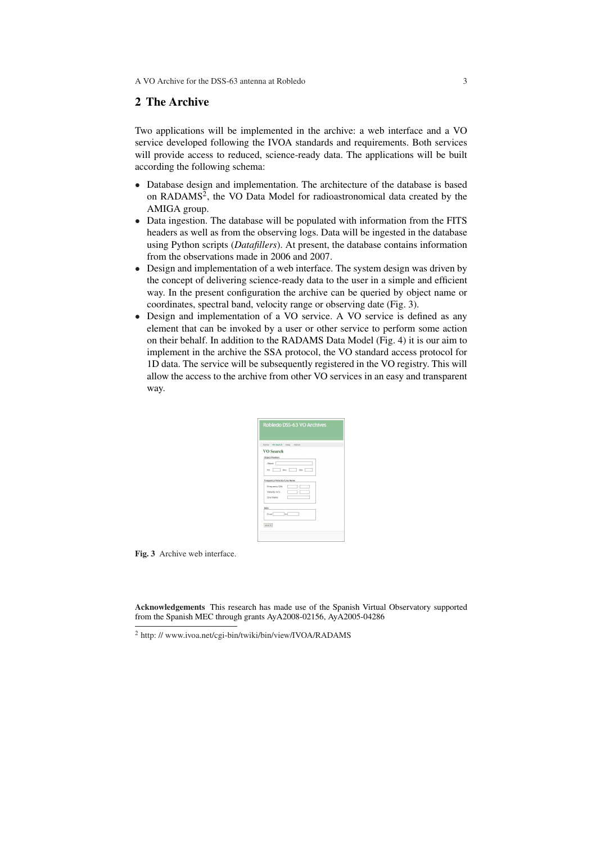## 2 The Archive

Two applications will be implemented in the archive: a web interface and a VO service developed following the IVOA standards and requirements. Both services will provide access to reduced, science-ready data. The applications will be built according the following schema:

- Database design and implementation. The architecture of the database is based on RADAMS<sup>2</sup>, the VO Data Model for radioastronomical data created by the AMIGA group.
- Data ingestion. The database will be populated with information from the FITS headers as well as from the observing logs. Data will be ingested in the database using Python scripts (*Datafillers*). At present, the database contains information from the observations made in 2006 and 2007.
- Design and implementation of a web interface. The system design was driven by the concept of delivering science-ready data to the user in a simple and efficient way. In the present configuration the archive can be queried by object name or coordinates, spectral band, velocity range or observing date (Fig. 3).
- Design and implementation of a VO service. A VO service is defined as any element that can be invoked by a user or other service to perform some action on their behalf. In addition to the RADAMS Data Model (Fig. 4) it is our aim to implement in the archive the SSA protocol, the VO standard access protocol for 1D data. The service will be subsequently registered in the VO registry. This will allow the access to the archive from other VO services in an easy and transparent way.

| Home                         | VO Search Help Admin |  |
|------------------------------|----------------------|--|
| VO Search                    |                      |  |
| Object/Position              |                      |  |
| Object                       |                      |  |
|                              | RA Dec Size          |  |
| Frequency/Velocity/Line Name |                      |  |
| Frequency GHz                | s                    |  |
| Velocity m/s                 |                      |  |
| Line Name                    |                      |  |
| Date                         |                      |  |
| From                         | $\lceil$ to          |  |

Fig. 3 Archive web interface.

Acknowledgements This research has made use of the Spanish Virtual Observatory supported from the Spanish MEC through grants AyA2008-02156, AyA2005-04286

<sup>&</sup>lt;sup>2</sup> http://www.ivoa.net/cgi-bin/twiki/bin/view/IVOA/RADAMS